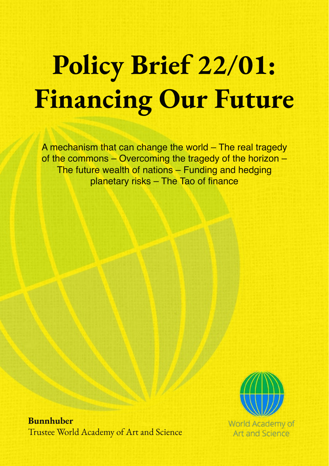# Policy Brief 22/01: Financing Our Future

A mechanism that can change the world – The real tragedy of the commons – Overcoming the tragedy of the horizon – The future wealth of nations – Funding and hedging planetary risks – The Tao of finance



Bunnhuber Trustee World Academy of Art and Science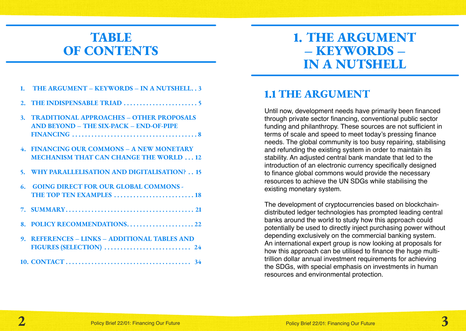### TABLE OF CONTENTS

# 1. THE ARGUMENT – KEYWORDS – IN A NUTSHELL

- 1. THE ARGUMENT KEYWORDS IN A NUTSHELL..3
- 2. THE [INDISPENSABLE](#page-2-0) TRIAD 5
- [3. TRADITIONAL](#page-4-0) APPROACHES OTHER PROPOSALS AND BEYOND – THE SIX-PACK – [END-OF-PIPE](#page-4-0)  [FINANCING](#page-4-0) 8
- [4. FINANCING](#page-6-0) OUR COMMONS A NEW MONETARY **MECHANISM THAT CAN CHANGE THE WORLD ... 12**
- 5. WHY [PARALLELISATION](#page-7-0) AND DIGITALISATION? . . 15
- 6. GOING DIRECT FOR OUR GLOBAL [COMMONS](#page-9-0) THE TOP TEN [EXAMPLES](#page-9-0) 18
- 7. SUMMARY 21
- 8. POLICY [RECOMMENDATIONS](#page-11-0) . 22
- [9. REFERENCES](#page-12-0) LINKS ADDITIONAL TABLES AND FIGURES [\(SELECTION\)](#page-12-0) 24
- [10. CONTACT](#page-17-0) 34

### 1.1 THE ARGUMENT

Until now, development needs have primarily been financed through private sector financing, conventional public sector funding and philanthropy. These sources are not sufficient in terms of scale and speed to meet today's pressing finance needs. The global community is too busy repairing, stabilising and refunding the existing system in order to maintain its stability. An adjusted central bank mandate that led to the introduction of an electronic currency specifically designed to finance global commons would provide the necessary resources to achieve the UN SDGs while stabilising the existing monetary system.

The development of cryptocurrencies based on blockchaindistributed ledger technologies has prompted leading central banks around the world to study how this approach could potentially be used to directly inject purchasing power without depending exclusively on the commercial banking system. An international expert group is now looking at proposals for how this approach can be utilised to finance the huge multitrillion dollar annual investment requirements for achieving the SDGs, with special emphasis on investments in human resources and environmental protection.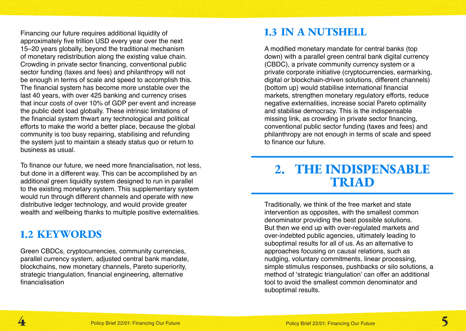<span id="page-2-0"></span>Financing our future requires additional liquidity of approximately five trillion USD every year over the next 15–20 years globally, beyond the traditional mechanism of monetary redistribution along the existing value chain. Crowding in private sector financing, conventional public sector funding (taxes and fees) and philanthropy will not be enough in terms of scale and speed to accomplish this. The financial system has become more unstable over the last 40 years, with over 425 banking and currency crises that incur costs of over 10% of GDP per event and increase the public debt load globally. These intrinsic limitations of the financial system thwart any technological and political efforts to make the world a better place, because the global community is too busy repairing, stabilising and refunding the system just to maintain a steady status quo or return to business as usual.

To finance our future, we need more financialisation, not less, but done in a different way. This can be accomplished by an additional green liquidity system designed to run in parallel to the existing monetary system. This supplementary system would run through different channels and operate with new distributive ledger technology, and would provide greater wealth and wellbeing thanks to multiple positive externalities.

### 1.2 KEYWORDS

Green CBDCs, cryptocurrencies, community currencies, parallel currency system, adjusted central bank mandate, blockchains, new monetary channels, Pareto superiority, strategic triangulation, financial engineering, alternative financialisation

### 1.3 IN A NUTSHELL

A modified monetary mandate for central banks (top down) with a parallel green central bank digital currency (CBDC), a private community currency system or a private corporate initiative (cryptocurrencies, earmarking, digital or blockchain-driven solutions, different channels) (bottom up) would stabilise international financial markets, strengthen monetary regulatory efforts, reduce negative externalities, increase social Pareto optimality and stabilise democracy. This is the indispensable missing link, as crowding in private sector financing, conventional public sector funding (taxes and fees) and philanthropy are not enough in terms of scale and speed to finance our future.

### 2. THE INDISPENSABLE TRIAD

Traditionally, we think of the free market and state intervention as opposites, with the smallest common denominator providing the best possible solutions. But then we end up with over-regulated markets and over-indebted public agencies, ultimately leading to suboptimal results for all of us. As an alternative to approaches focusing on causal relations, such as nudging, voluntary commitments, linear processing, simple stimulus responses, pushbacks or silo solutions, a method of 'strategic triangulation' can offer an additional tool to avoid the smallest common denominator and suboptimal results.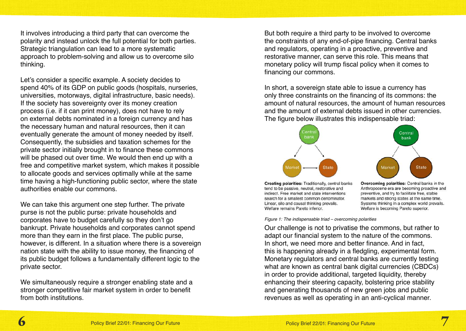It involves introducing a third party that can overcome the polarity and instead unlock the full potential for both parties. Strategic triangulation can lead to a more systematic approach to problem-solving and allow us to overcome silo thinking.

Let's consider a specific example. A society decides to spend 40% of its GDP on public goods (hospitals, nurseries, universities, motorways, digital infrastructure, basic needs). If the society has sovereignty over its money creation process (i.e. if it can print money), does not have to rely on external debts nominated in a foreign currency and has the necessary human and natural resources, then it can eventually generate the amount of money needed by itself. Consequently, the subsidies and taxation schemes for the private sector initially brought in to finance these commons will be phased out over time. We would then end up with a free and competitive market system, which makes it possible to allocate goods and services optimally while at the same time having a high-functioning public sector, where the state authorities enable our commons.

We can take this argument one step further. The private purse is not the public purse: private households and corporates have to budget carefully so they don't go bankrupt. Private households and corporates cannot spend more than they earn in the first place. The public purse, however, is different. In a situation where there is a sovereign nation state with the ability to issue money, the financing of its public budget follows a fundamentally different logic to the private sector.

We simultaneously require a stronger enabling state and a stronger competitive fair market system in order to benefit from both institutions.

But both require a third party to be involved to overcome the constraints of any end-of-pipe financing. Central banks and regulators, operating in a proactive, preventive and restorative manner, can serve this role. This means that monetary policy will trump fiscal policy when it comes to financing our commons.

In short, a sovereign state able to issue a currency has only three constraints on the financing of its commons: the amount of natural resources, the amount of human resources and the amount of external debts issued in other currencies. The figure below illustrates this indispensable triad:



Creating polarities: Traditionally, central banks tend to be passive, neutral, restorative and indirect. Free market and state interventions search for a smallest common denominator. Linear, silo and causal thinking prevails. Welfare remains Pareto inferior.

Overcoming polarities: Central banks in the Anthropocene era are becoming proactive and preventive, and try to facilitate free, stable markets and strong states at the same time. Systems thinking in a complex world prevails. Welfare is becoming Pareto superior.

*Figure 1: The indispensable triad – overcoming polarities*

Our challenge is not to privatise the commons, but rather to adapt our financial system to the nature of the commons. In short, we need more and better finance. And in fact, this is happening already in a fledgling, experimental form. Monetary regulators and central banks are currently testing what are known as central bank digital currencies (CBDCs) in order to provide additional, targeted liquidity, thereby enhancing their steering capacity, bolstering price stability and generating thousands of new green jobs and public revenues as well as operating in an anti-cyclical manner.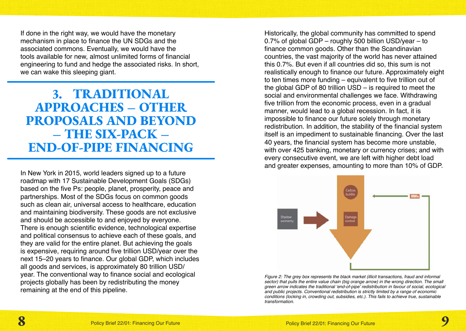<span id="page-4-0"></span>If done in the right way, we would have the monetary mechanism in place to finance the UN SDGs and the associated commons. Eventually, we would have the tools available for new, almost unlimited forms of financial engineering to fund and hedge the associated risks. In short, we can wake this sleeping giant.

### 3. TRADITIONAL APPROACHES – OTHER PROPOSALS AND BEYOND – THE SIX-PACK – END-OF-PIPE FINANCING

In New York in 2015, world leaders signed up to a future roadmap with 17 Sustainable Development Goals (SDGs) based on the five Ps: people, planet, prosperity, peace and partnerships. Most of the SDGs focus on common goods such as clean air, universal access to healthcare, education and maintaining biodiversity. These goods are not exclusive and should be accessible to and enjoyed by everyone. There is enough scientific evidence, technological expertise and political consensus to achieve each of these goals, and they are valid for the entire planet. But achieving the goals is expensive, requiring around five trillion USD/year over the next 15–20 years to finance. Our global GDP, which includes all goods and services, is approximately 80 trillion USD/ year. The conventional way to finance social and ecological projects globally has been by redistributing the money remaining at the end of this pipeline.

Historically, the global community has committed to spend 0.7% of global GDP – roughly 500 billion USD/year – to finance common goods. Other than the Scandinavian countries, the vast majority of the world has never attained this 0.7%. But even if all countries did so, this sum is not realistically enough to finance our future. Approximately eight to ten times more funding – equivalent to five trillion out of the global GDP of 80 trillion USD – is required to meet the social and environmental challenges we face. Withdrawing five trillion from the economic process, even in a gradual manner, would lead to a global recession. In fact, it is impossible to finance our future solely through monetary redistribution. In addition, the stability of the financial system itself is an impediment to sustainable financing. Over the last 40 years, the financial system has become more unstable, with over 425 banking, monetary or currency crises; and with every consecutive event, we are left with higher debt load and greater expenses, amounting to more than 10% of GDP.



*Figure 2: The grey box represents the black market (illicit transactions, fraud and informal sector) that pulls the entire value chain (big orange arrow) in the wrong direction. The small green arrow indicates the traditional 'end-of-pipe' redistribution in favour of social, ecological and public projects. Conventional redistribution is strictly limited by a range of economic conditions (locking in, crowding out, subsidies, etc.). This fails to achieve true, sustainable transformation.*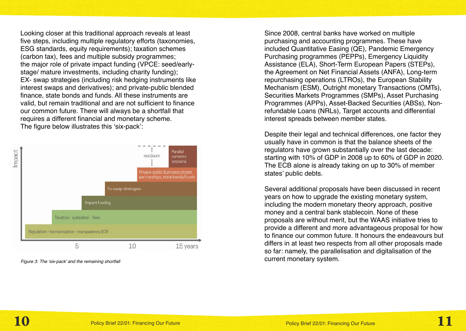Looking closer at this traditional approach reveals at least five steps, including multiple regulatory efforts (taxonomies, ESG standards, equity requirements); taxation schemes (carbon tax), fees and multiple subsidy programmes; the major role of private impact funding (VPCE: seed/earlystage/ mature investments, including charity funding); EX- swap strategies (including risk hedging instruments like interest swaps and derivatives); and private-public blended finance, state bonds and funds. All these instruments are valid, but remain traditional and are not sufficient to finance our common future. There will always be a shortfall that requires a different financial and monetary scheme. The figure below illustrates this 'six-pack':



Since 2008, central banks have worked on multiple purchasing and accounting programmes. These have included Quantitative Easing (QE), Pandemic Emergency Purchasing programmes (PEPPs), Emergency Liquidity Assistance (ELA), Short-Term European Papers (STEPs), the Agreement on Net Financial Assets (ANFA), Long-term repurchasing operations (LTROs), the European Stability Mechanism (ESM), Outright monetary Transactions (OMTs), Securities Markets Programmes (SMPs), Asset Purchasing Programmes (APPs), Asset-Backed Securities (ABSs), Nonrefundable Loans (NRLs), Target accounts and differential interest spreads between member states.

Despite their legal and technical differences, one factor they usually have in common is that the balance sheets of the regulators have grown substantially over the last decade: starting with 10% of GDP in 2008 up to 60% of GDP in 2020. The ECB alone is already taking on up to 30% of member states' public debts.

Several additional proposals have been discussed in recent years on how to upgrade the existing monetary system, including the modern monetary theory approach, positive money and a central bank stablecoin. None of these proposals are without merit, but the WAAS initiative tries to provide a different and more advantageous proposal for how to finance our common future. It honours the endeavours but differs in at least two respects from all other proposals made so far: namely, the parallelisation and digitalisation of the current monetary system. *Figure 3: The 'six-pack' and the remaining shortfall*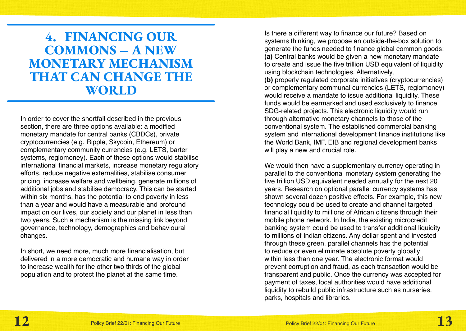<span id="page-6-0"></span>4. FINANCING OUR COMMONS – A NEW MONETARY MECHANISM THAT CAN CHANGE THE WORLD

In order to cover the shortfall described in the previous section, there are three options available: a modified monetary mandate for central banks (CBDCs), private cryptocurrencies (e.g. Ripple, Skycoin, Ethereum) or complementary community currencies (e.g. LETS, barter systems, regiomoney). Each of these options would stabilise international financial markets, increase monetary regulatory efforts, reduce negative externalities, stabilise consumer pricing, increase welfare and wellbeing, generate millions of additional jobs and stabilise democracy. This can be started within six months, has the potential to end poverty in less than a year and would have a measurable and profound impact on our lives, our society and our planet in less than two years. Such a mechanism is the missing link beyond governance, technology, demographics and behavioural changes.

In short, we need more, much more financialisation, but delivered in a more democratic and humane way in order to increase wealth for the other two thirds of the global population and to protect the planet at the same time.

Is there a different way to finance our future? Based on systems thinking, we propose an outside-the-box solution to generate the funds needed to finance global common goods: **(a)** Central banks would be given a new monetary mandate to create and issue the five trillion USD equivalent of liquidity using blockchain technologies. Alternatively,

**(b)** properly regulated corporate initiatives (cryptocurrencies) or complementary communal currencies (LETS, regiomoney) would receive a mandate to issue additional liquidity. These funds would be earmarked and used exclusively to finance SDG-related projects. This electronic liquidity would run through alternative monetary channels to those of the conventional system. The established commercial banking system and international development finance institutions like the World Bank, IMF, EIB and regional development banks will play a new and crucial role.

We would then have a supplementary currency operating in parallel to the conventional monetary system generating the five trillion USD equivalent needed annually for the next 20 years. Research on optional parallel currency systems has shown several dozen positive effects. For example, this new technology could be used to create and channel targeted financial liquidity to millions of African citizens through their mobile phone network. In India, the existing microcredit banking system could be used to transfer additional liquidity to millions of Indian citizens. Any dollar spent and invested through these green, parallel channels has the potential to reduce or even eliminate absolute poverty globally within less than one year. The electronic format would prevent corruption and fraud, as each transaction would be transparent and public. Once the currency was accepted for payment of taxes, local authorities would have additional liquidity to rebuild public infrastructure such as nurseries, parks, hospitals and libraries.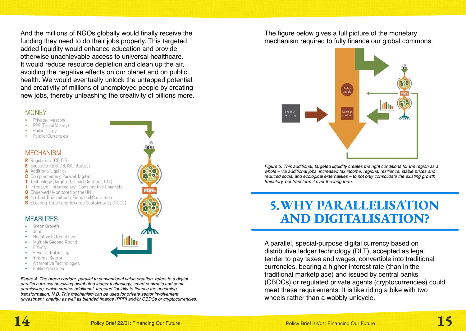<span id="page-7-0"></span>And the millions of NGOs globally would finally receive the funding they need to do their jobs properly. This targeted added liquidity would enhance education and provide otherwise unachievable access to universal healthcare. It would reduce resource depletion and clean up the air, avoiding the negative effects on our planet and on public health. We would eventually unlock the untapped potential and creativity of millions of unemployed people by creating new jobs, thereby unleashing the creativity of billions more.

#### **MONEY**

- Private Investors
- PPP (Fiscal Money)
- Philanthropy
- Parallel Currencies

#### **MECHANISM**

- R Regulation (CB: BIS)
- E Execution (EIB, DB, IGO, States)
- A Additional Liquidity
- C Complementary, Parallel, Digital
- T Technology (Targeted, Smart Contract, DLT)
- I Intensive Intermediary Consumptive Channels
- O Observed / Monitored by the UN
- N No Illicit Transactions, Fraud and Corruption
- S Steering, Stabilizing Towards Sustainability (NGOs)

#### **MEASURES**

- Green Growth
- Jobs
- Negative Externalities
- Multiple Second-Round
- Effects
- Reverse Trafficking
- Informal Sector
- Alternative Technologies
- Public Revenues

*Figure 4: The green corridor, parallel to conventional value creation, refers to a digital parallel currency (involving distributed ledger technology, smart contracts and semipermission), which creates additional, targeted liquidity to finance the upcoming transformation. N.B. This mechanism can be used for private sector involvement (investment, charity) as well as blended finance (PPP) and/or CBDCs or cryptocurrencies.* The figure below gives a full picture of the monetary mechanism required to fully finance our global commons.



*Figure 5: This additional, targeted liquidity creates the right conditions for the region as a whole – via additional jobs, increased tax income, regional resilience, stable prices and reduced social and ecological externalities – to not only consolidate the existing growth trajectory, but transform it over the long term.*

### 5. WHY PARALLELISATION AND DIGITALISATION?

A parallel, special-purpose digital currency based on distributive ledger technology (DLT), accepted as legal tender to pay taxes and wages, convertible into traditional currencies, bearing a higher interest rate (than in the traditional marketplace) and issued by central banks (CBDCs) or regulated private agents (cryptocurrencies) could meet these requirements. It is like riding a bike with two wheels rather than a wobbly unicycle.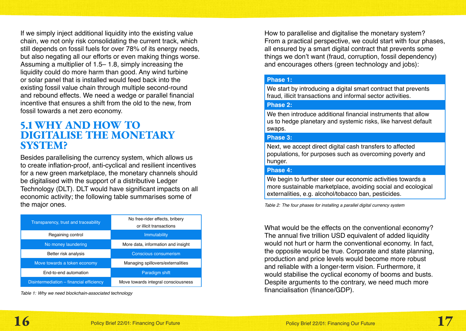If we simply inject additional liquidity into the existing value chain, we not only risk consolidating the current track, which still depends on fossil fuels for over 78% of its energy needs, but also negating all our efforts or even making things worse. Assuming a multiplier of 1.5– 1.8, simply increasing the liquidity could do more harm than good. Any wind turbine or solar panel that is installed would feed back into the existing fossil value chain through multiple second-round and rebound effects. We need a wedge or parallel financial incentive that ensures a shift from the old to the new, from fossil towards a net zero economy.

### 5.1 WHY AND HOW TO DIGITALISE THE MONETARY SYSTEM?

Besides parallelising the currency system, which allows us to create inflation-proof, anti-cyclical and resilient incentives for a new green marketplace, the monetary channels should be digitalised with the support of a distributive Ledger Technology (DLT). DLT would have significant impacts on all economic activity; the following table summarises some of the major ones.

| Transparency, trust and traceability     | No free-rider effects, bribery<br>or illicit transactions |
|------------------------------------------|-----------------------------------------------------------|
| Regaining control                        | <b>Immutability</b>                                       |
| No money laundering                      | More data, information and insight                        |
| Better risk analysis                     | Conscious consumerism                                     |
| Move towards a token economy             | Managing spillovers/externalities                         |
| End-to-end automation                    | Paradigm shift                                            |
| Disintermediation – financial efficiency | Move towards integral consciousness                       |

*Table 1: Why we need blockchain-associated technology*

How to parallelise and digitalise the monetary system? From a practical perspective, we could start with four phases, all ensured by a smart digital contract that prevents some things we don't want (fraud, corruption, fossil dependency) and encourages others (green technology and jobs):

#### **Phase 1:**

We start by introducing a digital smart contract that prevents fraud, illicit transactions and informal sector activities.

#### **Phase 2:**

We then introduce additional financial instruments that allow us to hedge planetary and systemic risks, like harvest default swaps.

#### **Phase 3:**

Next, we accept direct digital cash transfers to affected populations, for purposes such as overcoming poverty and hunger.

#### **Phase 4:**

We begin to further steer our economic activities towards a more sustainable marketplace, avoiding social and ecological externalities, e.g. alcohol/tobacco ban, pesticides.

*Table 2: The four phases for installing a parallel digital currency system*

What would be the effects on the conventional economy? The annual five trillion USD equivalent of added liquidity would not hurt or harm the conventional economy. In fact, the opposite would be true. Corporate and state planning, production and price levels would become more robust and reliable with a longer-term vision. Furthermore, it would stabilise the cyclical economy of booms and busts. Despite arguments to the contrary, we need much more financialisation (finance/GDP).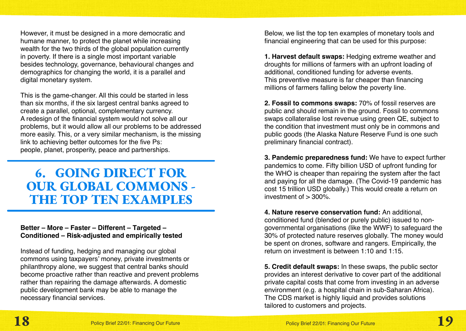<span id="page-9-0"></span>However, it must be designed in a more democratic and humane manner, to protect the planet while increasing wealth for the two thirds of the global population currently in poverty. If there is a single most important variable besides technology, governance, behavioural changes and demographics for changing the world, it is a parallel and digital monetary system.

This is the game-changer. All this could be started in less than six months, if the six largest central banks agreed to create a parallel, optional, complementary currency. A redesign of the financial system would not solve all our problems, but it would allow all our problems to be addressed more easily. This, or a very similar mechanism, is the missing link to achieving better outcomes for the five Ps: people, planet, prosperity, peace and partnerships.

## 6. GOING DIRECT FOR OUR GLOBAL COMMONS - THE TOP TEN EXAMPLES

#### **Better – More – Faster – Different – Targeted – Conditioned – Risk-adjusted and empirically tested**

Instead of funding, hedging and managing our global commons using taxpayers' money, private investments or philanthropy alone, we suggest that central banks should become proactive rather than reactive and prevent problems rather than repairing the damage afterwards. A domestic public development bank may be able to manage the necessary financial services.

Below, we list the top ten examples of monetary tools and financial engineering that can be used for this purpose:

**1. Harvest default swaps:** Hedging extreme weather and droughts for millions of farmers with an upfront loading of additional, conditioned funding for adverse events. This preventive measure is far cheaper than financing millions of farmers falling below the poverty line.

**2. Fossil to commons swaps:** 70% of fossil reserves are public and should remain in the ground. Fossil to commons swaps collateralise lost revenue using green QE, subject to the condition that investment must only be in commons and public goods (the Alaska Nature Reserve Fund is one such preliminary financial contract).

**3. Pandemic preparedness fund:** We have to expect further pandemics to come. Fifty billion USD of upfront funding for the WHO is cheaper than repairing the system after the fact and paying for all the damage. (The Covid-19 pandemic has cost 15 trillion USD globally.) This would create a return on investment of  $> 300\%$ .

**4. Nature reserve conservation fund:** An additional, conditioned fund (blended or purely public) issued to nongovernmental organisations (like the WWF) to safeguard the 30% of protected nature reserves globally. The money would be spent on drones, software and rangers. Empirically, the return on investment is between 1:10 and 1:15.

**5. Credit default swaps:** In these swaps, the public sector provides an interest derivative to cover part of the additional private capital costs that come from investing in an adverse environment (e.g. a hospital chain in sub-Saharan Africa). The CDS market is highly liquid and provides solutions tailored to customers and projects.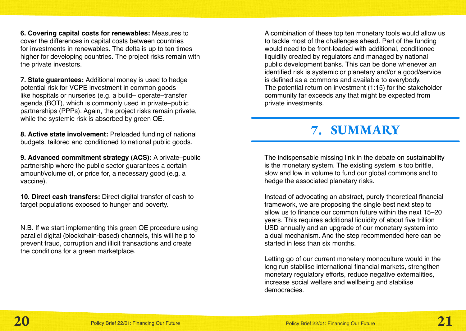<span id="page-10-0"></span>**6. Covering capital costs for renewables:** Measures to cover the differences in capital costs between countries for investments in renewables. The delta is up to ten times higher for developing countries. The project risks remain with the private investors.

**7. State guarantees:** Additional money is used to hedge potential risk for VCPE investment in common goods like hospitals or nurseries (e.g. a build– operate–transfer agenda (BOT), which is commonly used in private–public partnerships (PPPs). Again, the project risks remain private, while the systemic risk is absorbed by green QE.

**8. Active state involvement:** Preloaded funding of national budgets, tailored and conditioned to national public goods.

**9. Advanced commitment strategy (ACS):** A private–public partnership where the public sector guarantees a certain amount/volume of, or price for, a necessary good (e.g. a vaccine).

**10. Direct cash transfers:** Direct digital transfer of cash to target populations exposed to hunger and poverty.

N.B. If we start implementing this green QE procedure using parallel digital (blockchain-based) channels, this will help to prevent fraud, corruption and illicit transactions and create the conditions for a green marketplace.

A combination of these top ten monetary tools would allow us to tackle most of the challenges ahead. Part of the funding would need to be front-loaded with additional, conditioned liquidity created by regulators and managed by national public development banks. This can be done whenever an identified risk is systemic or planetary and/or a good/service is defined as a commons and available to everybody. The potential return on investment (1:15) for the stakeholder community far exceeds any that might be expected from private investments.

# 7. SUMMARY

The indispensable missing link in the debate on sustainability is the monetary system. The existing system is too brittle, slow and low in volume to fund our global commons and to hedge the associated planetary risks.

Instead of advocating an abstract, purely theoretical financial framework, we are proposing the single best next step to allow us to finance our common future within the next 15–20 years. This requires additional liquidity of about five trillion USD annually and an upgrade of our monetary system into a dual mechanism. And the step recommended here can be started in less than six months.

Letting go of our current monetary monoculture would in the long run stabilise international financial markets, strengthen monetary regulatory efforts, reduce negative externalities, increase social welfare and wellbeing and stabilise democracies.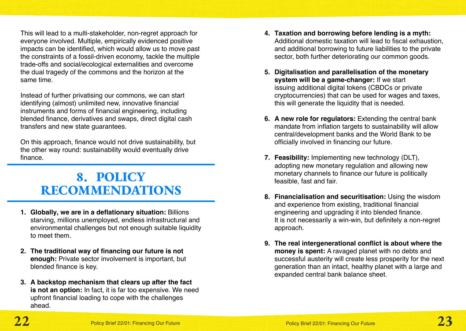<span id="page-11-0"></span>This will lead to a multi-stakeholder, non-regret approach for everyone involved. Multiple, empirically evidenced positive impacts can be identified, which would allow us to move past the constraints of a fossil-driven economy, tackle the multiple trade-offs and social/ecological externalities and overcome the dual tragedy of the commons and the horizon at the same time.

Instead of further privatising our commons, we can start identifying (almost) unlimited new, innovative financial instruments and forms of financial engineering, including blended finance, derivatives and swaps, direct digital cash transfers and new state guarantees.

On this approach, finance would not drive sustainability, but the other way round: sustainability would eventually drive finance.

# 8. POLICY RECOMMENDATIONS

- **1. Globally, we are in a deflationary situation:** Billions starving, millions unemployed, endless infrastructural and environmental challenges but not enough suitable liquidity to meet them.
- **2. The traditional way of financing our future is not enough:** Private sector involvement is important, but blended finance is key.
- **3. A backstop mechanism that clears up after the fact is not an option:** In fact, it is far too expensive. We need upfront financial loading to cope with the challenges ahead.
- **4. Taxation and borrowing before lending is a myth:**  Additional domestic taxation will lead to fiscal exhaustion, and additional borrowing to future liabilities to the private sector, both further deteriorating our common goods.
- **5. Digitalisation and parallelisation of the monetary system will be a game-changer:** If we start issuing additional digital tokens (CBDCs or private cryptocurrencies) that can be used for wages and taxes, this will generate the liquidity that is needed.
- **6. A new role for regulators:** Extending the central bank mandate from inflation targets to sustainability will allow central/development banks and the World Bank to be officially involved in financing our future.
- **7. Feasibility:** Implementing new technology (DLT), adopting new monetary regulation and allowing new monetary channels to finance our future is politically feasible, fast and fair.
- **8. Financialisation and securitisation:** Using the wisdom and experience from existing, traditional financial engineering and upgrading it into blended finance. It is not necessarily a win-win, but definitely a non-regret approach.
- **9. The real intergenerational conflict is about where the money is spent:** A ravaged planet with no debts and successful austerity will create less prosperity for the next generation than an intact, healthy planet with a large and expanded central bank balance sheet.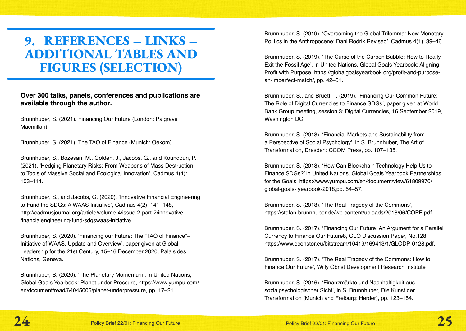# <span id="page-12-0"></span>9. REFERENCES – LINKS – ADDITIONAL TABLES AND FIGURES (SELECTION)

#### **Over 300 talks, panels, conferences and publications are available through the author.**

Brunnhuber, S. (2021). Financing Our Future (London: Palgrave Macmillan).

Brunnhuber, S. (2021). The TAO of Finance (Munich: Oekom).

Brunnhuber, S., Bozesan, M., Golden, J., Jacobs, G., and Koundouri, P. (2021). 'Hedging Planetary Risks: From Weapons of Mass Destruction to Tools of Massive Social and Ecological Innovation', Cadmus 4(4): 103–114.

Brunnhuber, S., and Jacobs, G. (2020). 'Innovative Financial Engineering to Fund the SDGs: A WAAS Initiative', Cadmus 4(2): 141–148, http://cadmusjournal.org/article/volume-4/issue-2-part-2/innovativefinancialengineering-fund-sdgswaas-initiative.

Brunnhuber, S. (2020). 'Financing our Future: The "TAO of Finance"– Initiative of WAAS, Update and Overview', paper given at Global Leadership for the 21st Century, 15–16 December 2020, Palais des Nations, Geneva.

Brunnhuber, S. (2020). 'The Planetary Momentum', in United Nations, Global Goals Yearbook: Planet under Pressure, https://www.yumpu.com/ en/document/read/64045005/planet-underpressure, pp. 17–21.

Brunnhuber, S. (2019). 'Overcoming the Global Trilemma: New Monetary Politics in the Anthropocene: Dani Rodrik Revised', Cadmus 4(1): 39–46.

Brunnhuber, S. (2019). 'The Curse of the Carbon Bubble: How to Really Exit the Fossil Age', in United Nations, Global Goals Yearbook: Aligning Profit with Purpose, https://globalgoalsyearbook.org/profit-and-purposean-imperfect-match/, pp. 42–51.

Brunnhuber, S., and Bruett, T. (2019). 'Financing Our Common Future: The Role of Digital Currencies to Finance SDGs', paper given at World Bank Group meeting, session 3: Digital Currencies, 16 September 2019, Washington DC.

Brunnhuber, S. (2018). 'Financial Markets and Sustainability from a Perspective of Social Psychology', in S. Brunnhuber, The Art of Transformation, Dresden: CCOM Press, pp. 107–135.

Brunnhuber, S. (2018). 'How Can Blockchain Technology Help Us to Finance SDGs?' in United Nations, Global Goals Yearbook Partnerships for the Goals, https://www.yumpu.com/en/document/view/61809970/ global-goals- yearbook-2018,pp. 54–57.

Brunnhuber, S. (2018). 'The Real Tragedy of the Commons', https://stefan-brunnhuber.de/wp-content/uploads/2018/06/COPE.pdf.

Brunnhuber, S. (2017). 'Financing Our Future: An Argument for a Parallel Currency to Finance Our Future8, GLO Discussion Paper, No.128, https://www.econstor.eu/bitstream/10419/169413/1/GLODP-0128.pdf.

Brunnhuber, S. (2017). 'The Real Tragedy of the Commons: How to Finance Our Future', Willy Obrist Development Research Institute

Brunnhuber, S. (2016). 'Finanzmärkte und Nachhaltigkeit aus sozialpsychologischer Sicht', in S. Brunnhuber, Die Kunst der Transformation (Munich and Freiburg: Herder), pp. 123–154.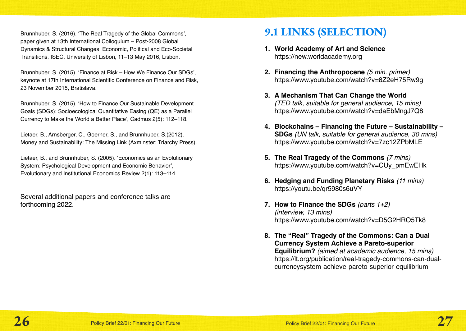Brunnhuber, S. (2016). 'The Real Tragedy of the Global Commons', paper given at 13th International Colloquium – Post-2008 Global Dynamics & Structural Changes: Economic, Political and Eco-Societal Transitions, ISEC, University of Lisbon, 11–13 May 2016, Lisbon.

Brunnhuber, S. (2015). 'Finance at Risk – How We Finance Our SDGs', keynote at 17th International Scientific Conference on Finance and Risk, 23 November 2015, Bratislava.

Brunnhuber, S. (2015). 'How to Finance Our Sustainable Development Goals (SDGs): Socioecological Quantitative Easing (QE) as a Parallel Currency to Make the World a Better Place', Cadmus 2(5): 112–118.

Lietaer, B., Arnsberger, C., Goerner, S., and Brunnhuber, S.(2012). Money and Sustainability: The Missing Link (Axminster: Triarchy Press).

Lietaer, B., and Brunnhuber, S. (2005). 'Economics as an Evolutionary System: Psychological Development and Economic Behavior', Evolutionary and Institutional Economics Review 2(1): 113–114.

Several additional papers and conference talks are forthcoming 2022.

### 9.1 LINKS (SELECTION)

- **1. World Academy of Art and Science**  https://new.worldacademy.org
- **2. Financing the Anthropocene** *(5 min. primer)*  https://www.youtube.com/watch?v=8Z2eH75Rw9g
- **3. A Mechanism That Can Change the World**  *(TED talk, suitable for general audience, 15 mins)*  https://www.youtube.com/watch?v=daEbMngJ7Q8
- **4. Blockchains Financing the Future Sustainability SDGs** *(UN talk, suitable for general audience, 30 mins)*  https://www.youtube.com/watch?v=7zc12ZPbMLE
- **5. The Real Tragedy of the Commons** *(7 mins)*  https://www.youtube.com/watch?v=CUy\_pmEwEHk
- **6. Hedging and Funding Planetary Risks** *(11 mins)* https://youtu.be/qr5980s6uVY
- **7. How to Finance the SDGs** *(parts 1+2) (interview, 13 mins)* https://www.youtube.com/watch?v=D5G2HRO5Tk8
- **8. The "Real" Tragedy of the Commons: Can a Dual Currency System Achieve a Pareto-superior Equilibrium?** *(aimed at academic audience, 15 mins)* https://lt.org/publication/real-tragedy-commons-can-dualcurrencysystem-achieve-pareto-superior-equilibrium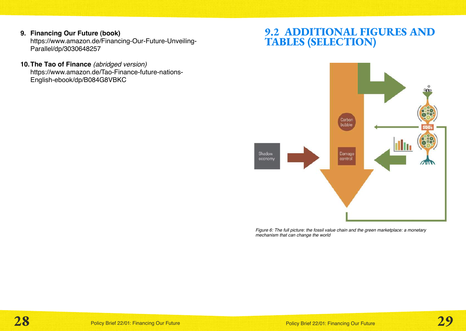#### **9. Financing Our Future (book)**

https://www.amazon.de/Financing-Our-Future-Unveiling-Parallel/dp/3030648257

**10.The Tao of Finance** *(abridged version)* https://www.amazon.de/Tao-Finance-future-nations-English-ebook/dp/B084G8VBKC

### 9.2 ADDITIONAL FIGURES AND TABLES (SELECTION)



*Figure 6: The full picture: the fossil value chain and the green marketplace: a monetary mechanism that can change the world*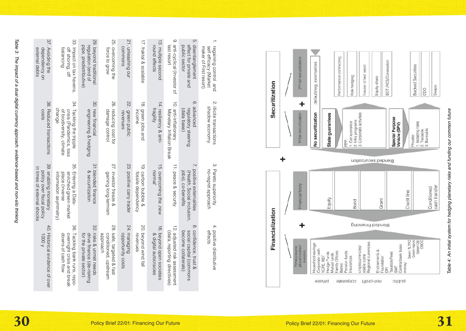| 37.                                                                                     |                                                                                              |                                                                                    |                                                                   |                                   |                                                         |                                                    | $\rm \ddot{\circ}$                                                    | ĊЛ.                                                                               | $\overline{a}$                                                           |
|-----------------------------------------------------------------------------------------|----------------------------------------------------------------------------------------------|------------------------------------------------------------------------------------|-------------------------------------------------------------------|-----------------------------------|---------------------------------------------------------|----------------------------------------------------|-----------------------------------------------------------------------|-----------------------------------------------------------------------------------|--------------------------------------------------------------------------|
| '. Avoiding the<br>dependency on<br>external debts                                      | 33. Impact on tax havens,<br>balancing<br>off shoring, off                                   | 29. beyond traditional<br>pipe, predistributive)<br>regulation (end of             | 25. overcoming the<br>force to grow                               | 21. unleashing our<br>commons     | 17. fraktal & scalable                                  | 13. multiple second<br>round effects               | anti-cyclical (Investor of<br>last resort                             | disentanglement<br>public sector<br>effect for private and                        | regaining control and<br>maker of First resort)<br>self efficacy (Market |
| 38.<br>Reduced transactions<br>costs                                                    | 34. Tackling the tripple<br>change<br>crisis (Pandemics, loss<br>of biodiversity, climate    | 30. new financial<br>engineering & hedging                                         | 26.<br>reducing cost for<br>damage control                        | 22.<br>green public<br>revenues   | 18. green jobs and<br>income                            | 14. resiliency & anti-<br>fragility                | $\overrightarrow{O}$<br>anti-inflationary<br>Monetary Inflation Break | $\infty$<br>advanced<br>regulatory steering<br>(data base)                        | 2. illicite transactions<br>shadow economy                               |
| 39.<br>9. enabling monetary<br>policy over fiscal policy<br>in times of external shocks | 35.<br>Entering a Data-<br>place (inverse<br>enriched green market<br>information asymmetry) | 31.blended finance<br>& securitization                                             | 27.<br>investor freeze &<br>gaining long-termism                  | 23. positive carry trader         | $\vec{\Theta}$<br>carbon bubble &<br>fossile dependency | 15. overcoming the ,new<br>normal'                 | 11. peace & security                                                  | 7. positive externalities<br>(Health, Social inclusion,<br>jobs), co-benefits     | 3. Pareto superiority<br>no-regret approach                              |
| $40.$<br>Historical evidence of over<br>1000 y                                          | 36.<br>Tackling bank runs, repo-<br>downs of cash flow<br>overnight crisis and<br>break      | 32.<br>risks & unmet needs<br>drive finance (de-risking<br>for the private sector) | 28.<br>safe, targeted & fast<br>approach<br>conditioned, upstream | 24. managing<br>opportunity costs | 20. beyond wind fall<br>revenues                        | 16. beyond open societies<br>& digital autocracies | 12. adjusted risk assessment<br>(data, reporting directives)          | $\infty$<br>confidence, trust &<br>social capital (commons<br>become collaterals) | 4. positive distributive<br>effects                                      |

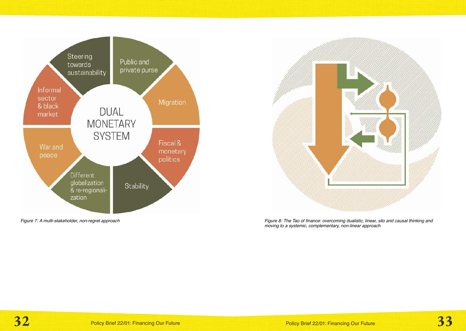



*Figure 7: A multi-stakeholder, non-regret approach Figure 8: The Tao of finance: overcoming dualistic, linear, silo and causal thinking and moving to a systemic, complementary, non-linear approach*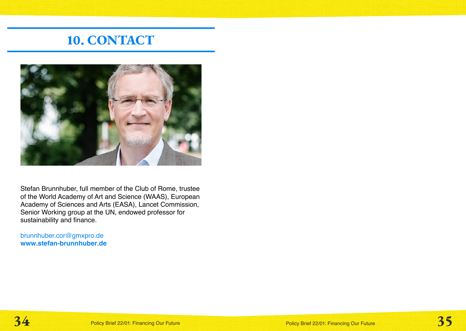# 10. CONTACT

<span id="page-17-0"></span>

Stefan Brunnhuber, full member of the Club of Rome, trustee of the World Academy of Art and Science (WAAS), European Academy of Sciences and Arts (EASA), Lancet Commission, Senior Working group at the UN, endowed professor for sustainability and finance.

brunnhuber.cor@gmxpro.de **www.stefan-brunnhuber.de**